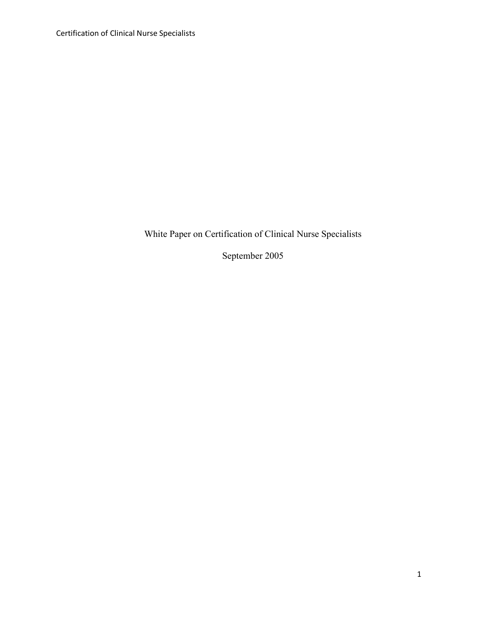Certification of Clinical Nurse Specialists

White Paper on Certification of Clinical Nurse Specialists

September 2005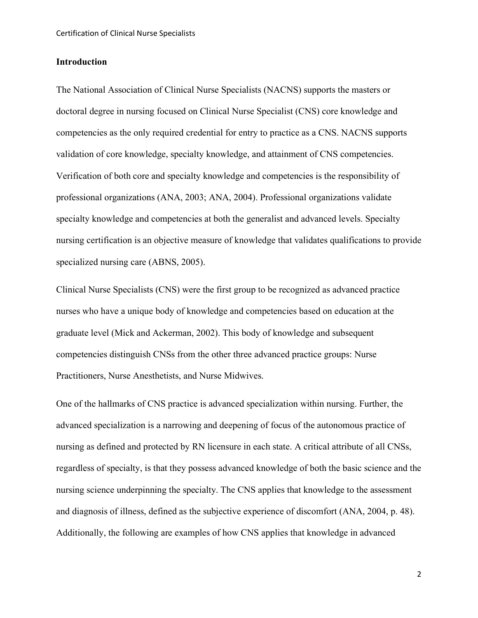### **Introduction**

The National Association of Clinical Nurse Specialists (NACNS) supports the masters or doctoral degree in nursing focused on Clinical Nurse Specialist (CNS) core knowledge and competencies as the only required credential for entry to practice as a CNS. NACNS supports validation of core knowledge, specialty knowledge, and attainment of CNS competencies. Verification of both core and specialty knowledge and competencies is the responsibility of professional organizations (ANA, 2003; ANA, 2004). Professional organizations validate specialty knowledge and competencies at both the generalist and advanced levels. Specialty nursing certification is an objective measure of knowledge that validates qualifications to provide specialized nursing care (ABNS, 2005).

Clinical Nurse Specialists (CNS) were the first group to be recognized as advanced practice nurses who have a unique body of knowledge and competencies based on education at the graduate level (Mick and Ackerman, 2002). This body of knowledge and subsequent competencies distinguish CNSs from the other three advanced practice groups: Nurse Practitioners, Nurse Anesthetists, and Nurse Midwives.

One of the hallmarks of CNS practice is advanced specialization within nursing. Further, the advanced specialization is a narrowing and deepening of focus of the autonomous practice of nursing as defined and protected by RN licensure in each state. A critical attribute of all CNSs, regardless of specialty, is that they possess advanced knowledge of both the basic science and the nursing science underpinning the specialty. The CNS applies that knowledge to the assessment and diagnosis of illness, defined as the subjective experience of discomfort (ANA, 2004, p. 48). Additionally, the following are examples of how CNS applies that knowledge in advanced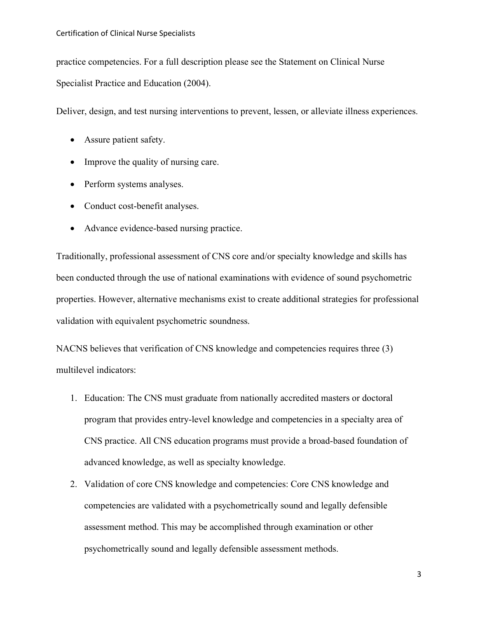practice competencies. For a full description please see the Statement on Clinical Nurse Specialist Practice and Education (2004).

Deliver, design, and test nursing interventions to prevent, lessen, or alleviate illness experiences.

- Assure patient safety.
- Improve the quality of nursing care.
- Perform systems analyses.
- Conduct cost-benefit analyses.
- Advance evidence-based nursing practice.

Traditionally, professional assessment of CNS core and/or specialty knowledge and skills has been conducted through the use of national examinations with evidence of sound psychometric properties. However, alternative mechanisms exist to create additional strategies for professional validation with equivalent psychometric soundness.

NACNS believes that verification of CNS knowledge and competencies requires three (3) multilevel indicators:

- 1. Education: The CNS must graduate from nationally accredited masters or doctoral program that provides entry-level knowledge and competencies in a specialty area of CNS practice. All CNS education programs must provide a broad-based foundation of advanced knowledge, as well as specialty knowledge.
- 2. Validation of core CNS knowledge and competencies: Core CNS knowledge and competencies are validated with a psychometrically sound and legally defensible assessment method. This may be accomplished through examination or other psychometrically sound and legally defensible assessment methods.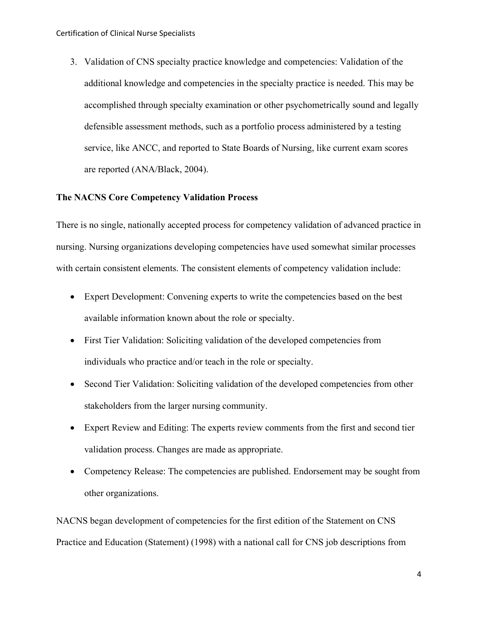3. Validation of CNS specialty practice knowledge and competencies: Validation of the additional knowledge and competencies in the specialty practice is needed. This may be accomplished through specialty examination or other psychometrically sound and legally defensible assessment methods, such as a portfolio process administered by a testing service, like ANCC, and reported to State Boards of Nursing, like current exam scores are reported (ANA/Black, 2004).

### **The NACNS Core Competency Validation Process**

There is no single, nationally accepted process for competency validation of advanced practice in nursing. Nursing organizations developing competencies have used somewhat similar processes with certain consistent elements. The consistent elements of competency validation include:

- Expert Development: Convening experts to write the competencies based on the best available information known about the role or specialty.
- First Tier Validation: Soliciting validation of the developed competencies from individuals who practice and/or teach in the role or specialty.
- Second Tier Validation: Soliciting validation of the developed competencies from other stakeholders from the larger nursing community.
- Expert Review and Editing: The experts review comments from the first and second tier validation process. Changes are made as appropriate.
- Competency Release: The competencies are published. Endorsement may be sought from other organizations.

NACNS began development of competencies for the first edition of the Statement on CNS Practice and Education (Statement) (1998) with a national call for CNS job descriptions from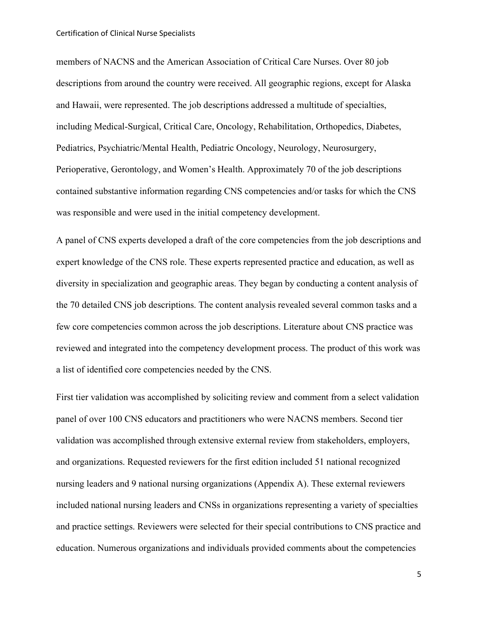members of NACNS and the American Association of Critical Care Nurses. Over 80 job descriptions from around the country were received. All geographic regions, except for Alaska and Hawaii, were represented. The job descriptions addressed a multitude of specialties, including Medical-Surgical, Critical Care, Oncology, Rehabilitation, Orthopedics, Diabetes, Pediatrics, Psychiatric/Mental Health, Pediatric Oncology, Neurology, Neurosurgery, Perioperative, Gerontology, and Women's Health. Approximately 70 of the job descriptions contained substantive information regarding CNS competencies and/or tasks for which the CNS was responsible and were used in the initial competency development.

A panel of CNS experts developed a draft of the core competencies from the job descriptions and expert knowledge of the CNS role. These experts represented practice and education, as well as diversity in specialization and geographic areas. They began by conducting a content analysis of the 70 detailed CNS job descriptions. The content analysis revealed several common tasks and a few core competencies common across the job descriptions. Literature about CNS practice was reviewed and integrated into the competency development process. The product of this work was a list of identified core competencies needed by the CNS.

First tier validation was accomplished by soliciting review and comment from a select validation panel of over 100 CNS educators and practitioners who were NACNS members. Second tier validation was accomplished through extensive external review from stakeholders, employers, and organizations. Requested reviewers for the first edition included 51 national recognized nursing leaders and 9 national nursing organizations (Appendix A). These external reviewers included national nursing leaders and CNSs in organizations representing a variety of specialties and practice settings. Reviewers were selected for their special contributions to CNS practice and education. Numerous organizations and individuals provided comments about the competencies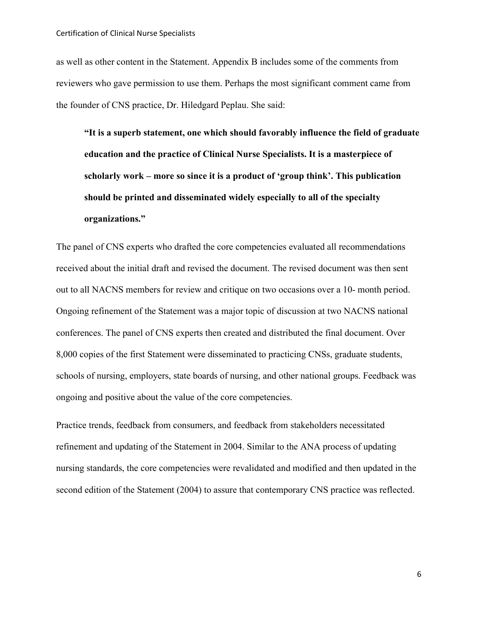as well as other content in the Statement. Appendix B includes some of the comments from reviewers who gave permission to use them. Perhaps the most significant comment came from the founder of CNS practice, Dr. Hiledgard Peplau. She said:

**"It is a superb statement, one which should favorably influence the field of graduate education and the practice of Clinical Nurse Specialists. It is a masterpiece of scholarly work – more so since it is a product of 'group think'. This publication should be printed and disseminated widely especially to all of the specialty organizations."**

The panel of CNS experts who drafted the core competencies evaluated all recommendations received about the initial draft and revised the document. The revised document was then sent out to all NACNS members for review and critique on two occasions over a 10- month period. Ongoing refinement of the Statement was a major topic of discussion at two NACNS national conferences. The panel of CNS experts then created and distributed the final document. Over 8,000 copies of the first Statement were disseminated to practicing CNSs, graduate students, schools of nursing, employers, state boards of nursing, and other national groups. Feedback was ongoing and positive about the value of the core competencies.

Practice trends, feedback from consumers, and feedback from stakeholders necessitated refinement and updating of the Statement in 2004. Similar to the ANA process of updating nursing standards, the core competencies were revalidated and modified and then updated in the second edition of the Statement (2004) to assure that contemporary CNS practice was reflected.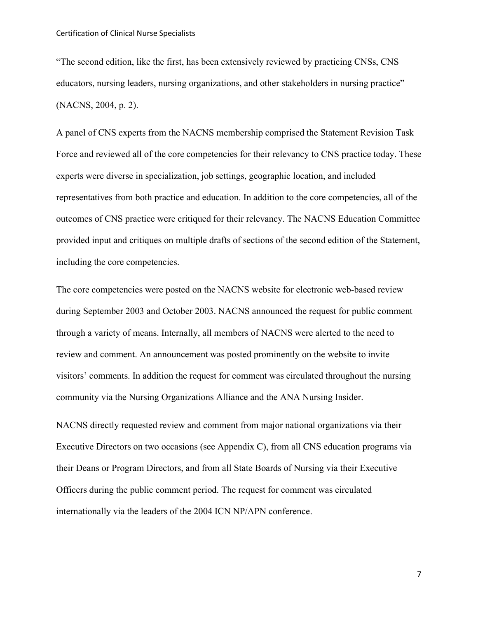"The second edition, like the first, has been extensively reviewed by practicing CNSs, CNS educators, nursing leaders, nursing organizations, and other stakeholders in nursing practice" (NACNS, 2004, p. 2).

A panel of CNS experts from the NACNS membership comprised the Statement Revision Task Force and reviewed all of the core competencies for their relevancy to CNS practice today. These experts were diverse in specialization, job settings, geographic location, and included representatives from both practice and education. In addition to the core competencies, all of the outcomes of CNS practice were critiqued for their relevancy. The NACNS Education Committee provided input and critiques on multiple drafts of sections of the second edition of the Statement, including the core competencies.

The core competencies were posted on the NACNS website for electronic web-based review during September 2003 and October 2003. NACNS announced the request for public comment through a variety of means. Internally, all members of NACNS were alerted to the need to review and comment. An announcement was posted prominently on the website to invite visitors' comments. In addition the request for comment was circulated throughout the nursing community via the Nursing Organizations Alliance and the ANA Nursing Insider.

NACNS directly requested review and comment from major national organizations via their Executive Directors on two occasions (see Appendix C), from all CNS education programs via their Deans or Program Directors, and from all State Boards of Nursing via their Executive Officers during the public comment period. The request for comment was circulated internationally via the leaders of the 2004 ICN NP/APN conference.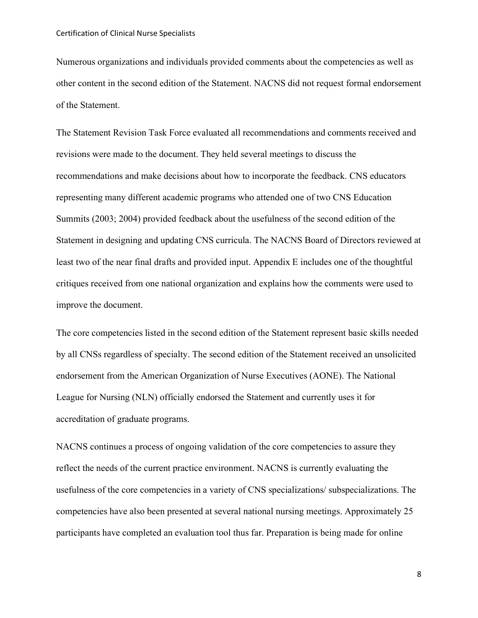Numerous organizations and individuals provided comments about the competencies as well as other content in the second edition of the Statement. NACNS did not request formal endorsement of the Statement.

The Statement Revision Task Force evaluated all recommendations and comments received and revisions were made to the document. They held several meetings to discuss the recommendations and make decisions about how to incorporate the feedback. CNS educators representing many different academic programs who attended one of two CNS Education Summits (2003; 2004) provided feedback about the usefulness of the second edition of the Statement in designing and updating CNS curricula. The NACNS Board of Directors reviewed at least two of the near final drafts and provided input. Appendix E includes one of the thoughtful critiques received from one national organization and explains how the comments were used to improve the document.

The core competencies listed in the second edition of the Statement represent basic skills needed by all CNSs regardless of specialty. The second edition of the Statement received an unsolicited endorsement from the American Organization of Nurse Executives (AONE). The National League for Nursing (NLN) officially endorsed the Statement and currently uses it for accreditation of graduate programs.

NACNS continues a process of ongoing validation of the core competencies to assure they reflect the needs of the current practice environment. NACNS is currently evaluating the usefulness of the core competencies in a variety of CNS specializations/ subspecializations. The competencies have also been presented at several national nursing meetings. Approximately 25 participants have completed an evaluation tool thus far. Preparation is being made for online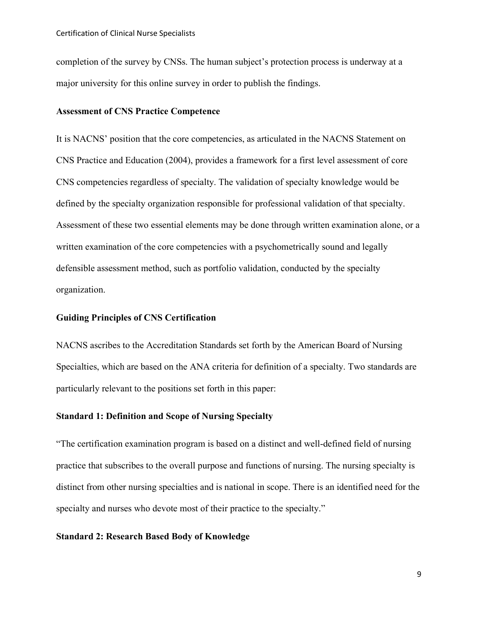completion of the survey by CNSs. The human subject's protection process is underway at a major university for this online survey in order to publish the findings.

## **Assessment of CNS Practice Competence**

It is NACNS' position that the core competencies, as articulated in the NACNS Statement on CNS Practice and Education (2004), provides a framework for a first level assessment of core CNS competencies regardless of specialty. The validation of specialty knowledge would be defined by the specialty organization responsible for professional validation of that specialty. Assessment of these two essential elements may be done through written examination alone, or a written examination of the core competencies with a psychometrically sound and legally defensible assessment method, such as portfolio validation, conducted by the specialty organization.

# **Guiding Principles of CNS Certification**

NACNS ascribes to the Accreditation Standards set forth by the American Board of Nursing Specialties, which are based on the ANA criteria for definition of a specialty. Two standards are particularly relevant to the positions set forth in this paper:

### **Standard 1: Definition and Scope of Nursing Specialty**

"The certification examination program is based on a distinct and well-defined field of nursing practice that subscribes to the overall purpose and functions of nursing. The nursing specialty is distinct from other nursing specialties and is national in scope. There is an identified need for the specialty and nurses who devote most of their practice to the specialty."

# **Standard 2: Research Based Body of Knowledge**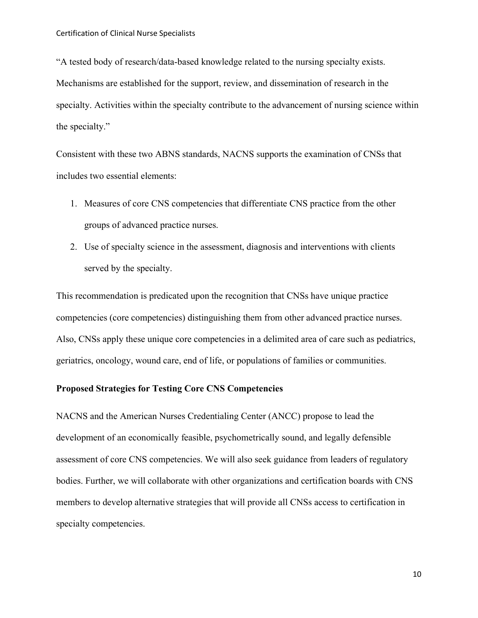"A tested body of research/data-based knowledge related to the nursing specialty exists. Mechanisms are established for the support, review, and dissemination of research in the specialty. Activities within the specialty contribute to the advancement of nursing science within the specialty."

Consistent with these two ABNS standards, NACNS supports the examination of CNSs that includes two essential elements:

- 1. Measures of core CNS competencies that differentiate CNS practice from the other groups of advanced practice nurses.
- 2. Use of specialty science in the assessment, diagnosis and interventions with clients served by the specialty.

This recommendation is predicated upon the recognition that CNSs have unique practice competencies (core competencies) distinguishing them from other advanced practice nurses. Also, CNSs apply these unique core competencies in a delimited area of care such as pediatrics, geriatrics, oncology, wound care, end of life, or populations of families or communities.

# **Proposed Strategies for Testing Core CNS Competencies**

NACNS and the American Nurses Credentialing Center (ANCC) propose to lead the development of an economically feasible, psychometrically sound, and legally defensible assessment of core CNS competencies. We will also seek guidance from leaders of regulatory bodies. Further, we will collaborate with other organizations and certification boards with CNS members to develop alternative strategies that will provide all CNSs access to certification in specialty competencies.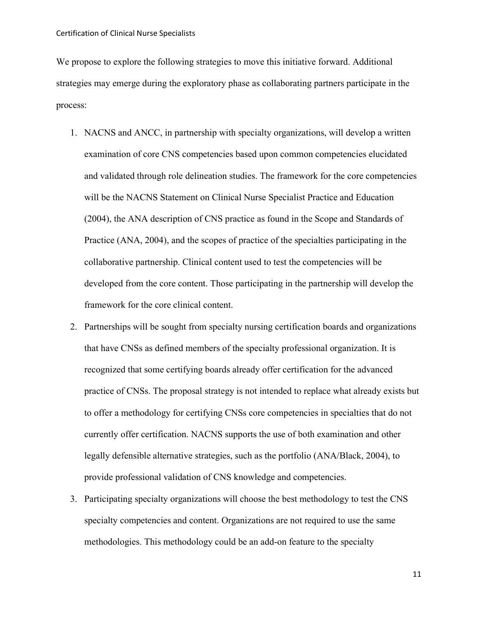We propose to explore the following strategies to move this initiative forward. Additional strategies may emerge during the exploratory phase as collaborating partners participate in the process:

- 1. NACNS and ANCC, in partnership with specialty organizations, will develop a written examination of core CNS competencies based upon common competencies elucidated and validated through role delineation studies. The framework for the core competencies will be the NACNS Statement on Clinical Nurse Specialist Practice and Education (2004), the ANA description of CNS practice as found in the Scope and Standards of Practice (ANA, 2004), and the scopes of practice of the specialties participating in the collaborative partnership. Clinical content used to test the competencies will be developed from the core content. Those participating in the partnership will develop the framework for the core clinical content.
- 2. Partnerships will be sought from specialty nursing certification boards and organizations that have CNSs as defined members of the specialty professional organization. It is recognized that some certifying boards already offer certification for the advanced practice of CNSs. The proposal strategy is not intended to replace what already exists but to offer a methodology for certifying CNSs core competencies in specialties that do not currently offer certification. NACNS supports the use of both examination and other legally defensible alternative strategies, such as the portfolio (ANA/Black, 2004), to provide professional validation of CNS knowledge and competencies.
- 3. Participating specialty organizations will choose the best methodology to test the CNS specialty competencies and content. Organizations are not required to use the same methodologies. This methodology could be an add-on feature to the specialty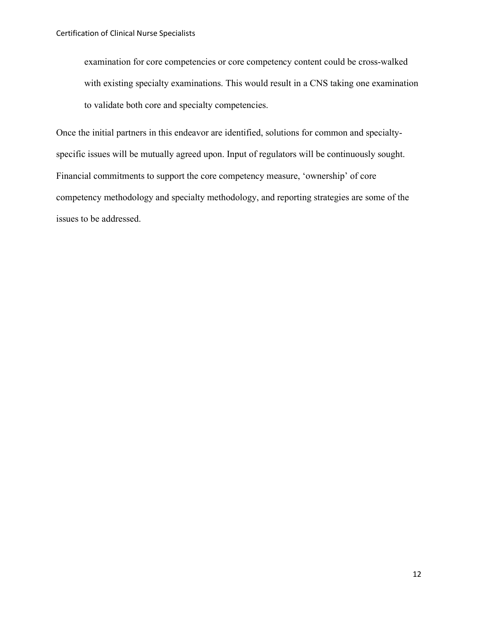examination for core competencies or core competency content could be cross-walked with existing specialty examinations. This would result in a CNS taking one examination to validate both core and specialty competencies.

Once the initial partners in this endeavor are identified, solutions for common and specialtyspecific issues will be mutually agreed upon. Input of regulators will be continuously sought. Financial commitments to support the core competency measure, 'ownership' of core competency methodology and specialty methodology, and reporting strategies are some of the issues to be addressed.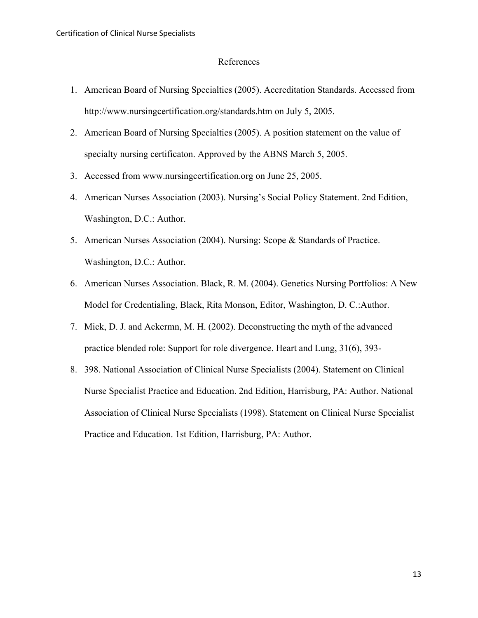#### References

- 1. American Board of Nursing Specialties (2005). Accreditation Standards. Accessed from http://www.nursingcertification.org/standards.htm on July 5, 2005.
- 2. American Board of Nursing Specialties (2005). A position statement on the value of specialty nursing certificaton. Approved by the ABNS March 5, 2005.
- 3. Accessed from www.nursingcertification.org on June 25, 2005.
- 4. American Nurses Association (2003). Nursing's Social Policy Statement. 2nd Edition, Washington, D.C.: Author.
- 5. American Nurses Association (2004). Nursing: Scope & Standards of Practice. Washington, D.C.: Author.
- 6. American Nurses Association. Black, R. M. (2004). Genetics Nursing Portfolios: A New Model for Credentialing, Black, Rita Monson, Editor, Washington, D. C.:Author.
- 7. Mick, D. J. and Ackermn, M. H. (2002). Deconstructing the myth of the advanced practice blended role: Support for role divergence. Heart and Lung, 31(6), 393-
- 8. 398. National Association of Clinical Nurse Specialists (2004). Statement on Clinical Nurse Specialist Practice and Education. 2nd Edition, Harrisburg, PA: Author. National Association of Clinical Nurse Specialists (1998). Statement on Clinical Nurse Specialist Practice and Education. 1st Edition, Harrisburg, PA: Author.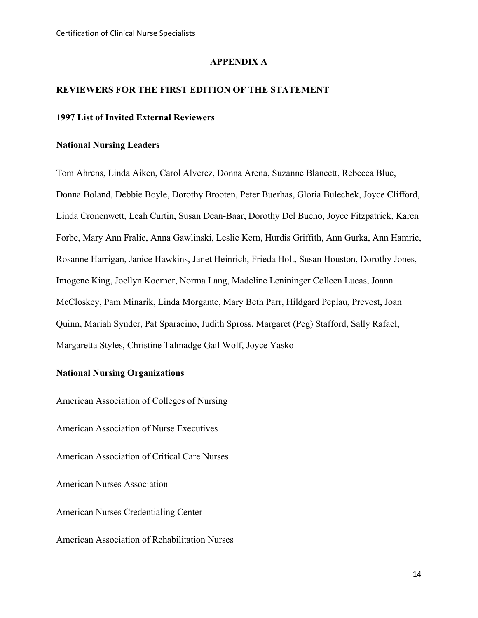### **APPENDIX A**

#### **REVIEWERS FOR THE FIRST EDITION OF THE STATEMENT**

# **1997 List of Invited External Reviewers**

### **National Nursing Leaders**

Tom Ahrens, Linda Aiken, Carol Alverez, Donna Arena, Suzanne Blancett, Rebecca Blue, Donna Boland, Debbie Boyle, Dorothy Brooten, Peter Buerhas, Gloria Bulechek, Joyce Clifford, Linda Cronenwett, Leah Curtin, Susan Dean-Baar, Dorothy Del Bueno, Joyce Fitzpatrick, Karen Forbe, Mary Ann Fralic, Anna Gawlinski, Leslie Kern, Hurdis Griffith, Ann Gurka, Ann Hamric, Rosanne Harrigan, Janice Hawkins, Janet Heinrich, Frieda Holt, Susan Houston, Dorothy Jones, Imogene King, Joellyn Koerner, Norma Lang, Madeline Lenininger Colleen Lucas, Joann McCloskey, Pam Minarik, Linda Morgante, Mary Beth Parr, Hildgard Peplau, Prevost, Joan Quinn, Mariah Synder, Pat Sparacino, Judith Spross, Margaret (Peg) Stafford, Sally Rafael, Margaretta Styles, Christine Talmadge Gail Wolf, Joyce Yasko

# **National Nursing Organizations**

American Association of Colleges of Nursing American Association of Nurse Executives American Association of Critical Care Nurses American Nurses Association American Nurses Credentialing Center American Association of Rehabilitation Nurses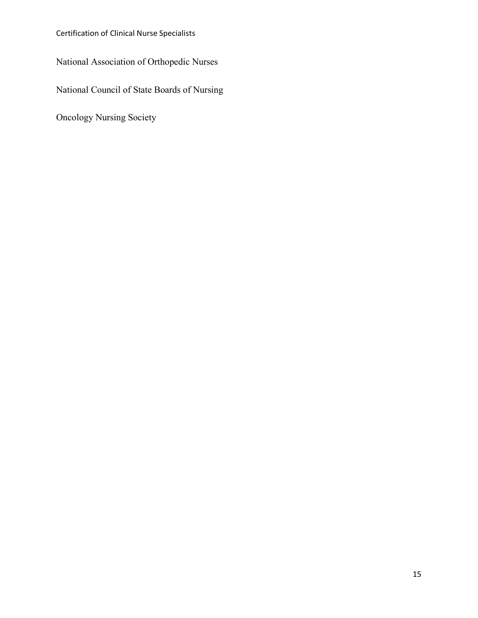Certification of Clinical Nurse Specialists

National Association of Orthopedic Nurses

National Council of State Boards of Nursing

Oncology Nursing Society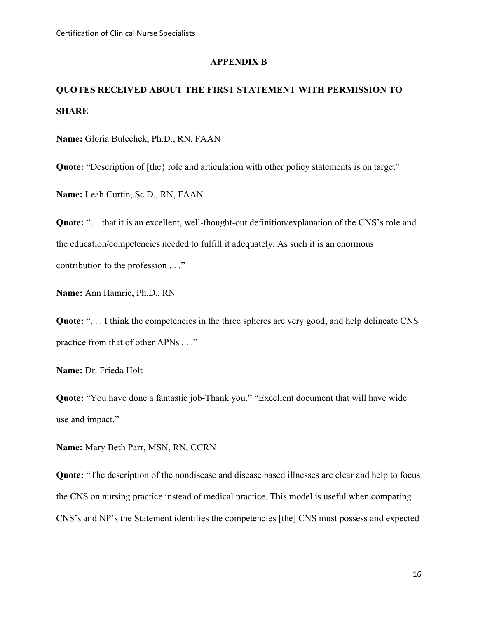#### **APPENDIX B**

# **QUOTES RECEIVED ABOUT THE FIRST STATEMENT WITH PERMISSION TO SHARE**

**Name:** Gloria Bulechek, Ph.D., RN, FAAN

**Quote:** "Description of [the} role and articulation with other policy statements is on target"

**Name:** Leah Curtin, Sc.D., RN, FAAN

**Quote:** ". . .that it is an excellent, well-thought-out definition/explanation of the CNS's role and the education/competencies needed to fulfill it adequately. As such it is an enormous contribution to the profession . . ."

**Name:** Ann Hamric, Ph.D., RN

Quote: "... I think the competencies in the three spheres are very good, and help delineate CNS practice from that of other APNs . . ."

**Name:** Dr. Frieda Holt

**Quote:** "You have done a fantastic job-Thank you." "Excellent document that will have wide use and impact."

**Name:** Mary Beth Parr, MSN, RN, CCRN

**Quote:** "The description of the nondisease and disease based illnesses are clear and help to focus the CNS on nursing practice instead of medical practice. This model is useful when comparing CNS's and NP's the Statement identifies the competencies [the] CNS must possess and expected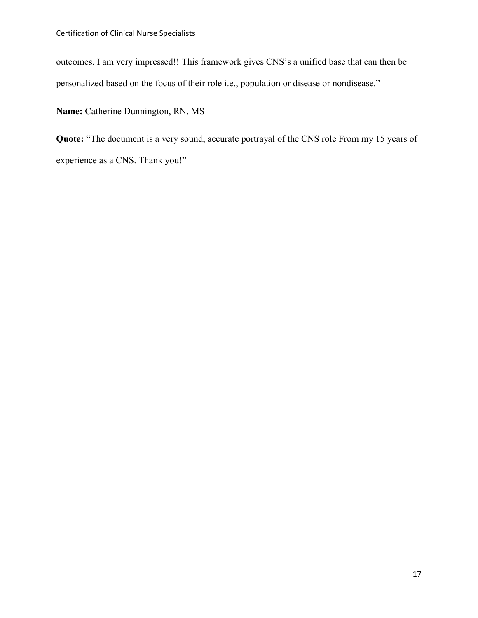outcomes. I am very impressed!! This framework gives CNS's a unified base that can then be personalized based on the focus of their role i.e., population or disease or nondisease."

**Name:** Catherine Dunnington, RN, MS

**Quote:** "The document is a very sound, accurate portrayal of the CNS role From my 15 years of experience as a CNS. Thank you!"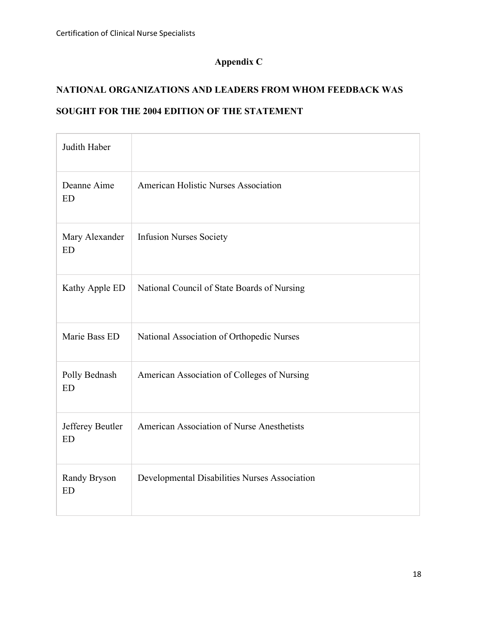# **Appendix C**

# **NATIONAL ORGANIZATIONS AND LEADERS FROM WHOM FEEDBACK WAS SOUGHT FOR THE 2004 EDITION OF THE STATEMENT**

| Judith Haber                  |                                               |
|-------------------------------|-----------------------------------------------|
| Deanne Aime<br><b>ED</b>      | American Holistic Nurses Association          |
| Mary Alexander<br><b>ED</b>   | <b>Infusion Nurses Society</b>                |
| Kathy Apple ED                | National Council of State Boards of Nursing   |
| Marie Bass ED                 | National Association of Orthopedic Nurses     |
| Polly Bednash<br><b>ED</b>    | American Association of Colleges of Nursing   |
| Jefferey Beutler<br><b>ED</b> | American Association of Nurse Anesthetists    |
| Randy Bryson<br><b>ED</b>     | Developmental Disabilities Nurses Association |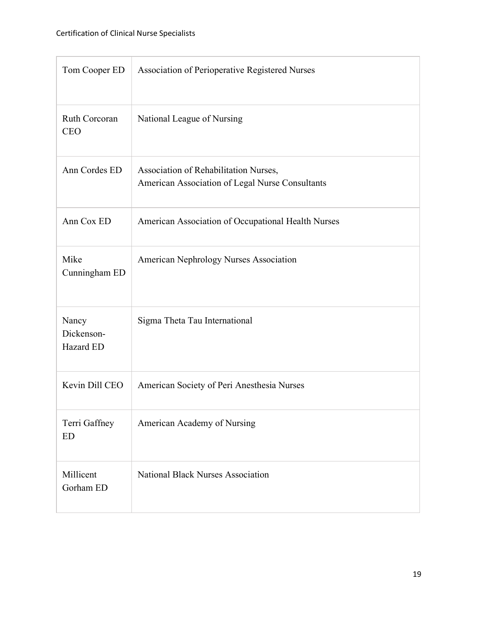| Tom Cooper ED                    | Association of Perioperative Registered Nurses                                           |
|----------------------------------|------------------------------------------------------------------------------------------|
| Ruth Corcoran<br><b>CEO</b>      | National League of Nursing                                                               |
| Ann Cordes ED                    | Association of Rehabilitation Nurses,<br>American Association of Legal Nurse Consultants |
| Ann Cox ED                       | American Association of Occupational Health Nurses                                       |
| Mike<br>Cunningham ED            | American Nephrology Nurses Association                                                   |
| Nancy<br>Dickenson-<br>Hazard ED | Sigma Theta Tau International                                                            |
| Kevin Dill CEO                   | American Society of Peri Anesthesia Nurses                                               |
| Terri Gaffney<br><b>ED</b>       | American Academy of Nursing                                                              |
| Millicent<br>Gorham ED           | <b>National Black Nurses Association</b>                                                 |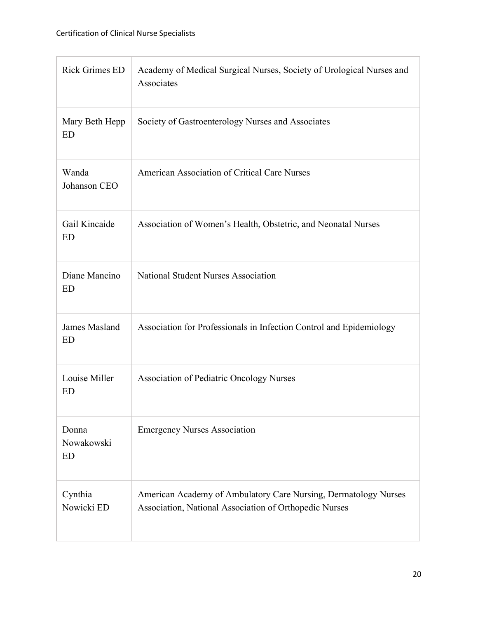| <b>Rick Grimes ED</b>            | Academy of Medical Surgical Nurses, Society of Urological Nurses and<br>Associates                                        |
|----------------------------------|---------------------------------------------------------------------------------------------------------------------------|
| Mary Beth Hepp<br><b>ED</b>      | Society of Gastroenterology Nurses and Associates                                                                         |
| Wanda<br>Johanson CEO            | <b>American Association of Critical Care Nurses</b>                                                                       |
| Gail Kincaide<br><b>ED</b>       | Association of Women's Health, Obstetric, and Neonatal Nurses                                                             |
| Diane Mancino<br><b>ED</b>       | <b>National Student Nurses Association</b>                                                                                |
| James Masland<br><b>ED</b>       | Association for Professionals in Infection Control and Epidemiology                                                       |
| Louise Miller<br><b>ED</b>       | <b>Association of Pediatric Oncology Nurses</b>                                                                           |
| Donna<br>Nowakowski<br><b>ED</b> | <b>Emergency Nurses Association</b>                                                                                       |
| Cynthia<br>Nowicki ED            | American Academy of Ambulatory Care Nursing, Dermatology Nurses<br>Association, National Association of Orthopedic Nurses |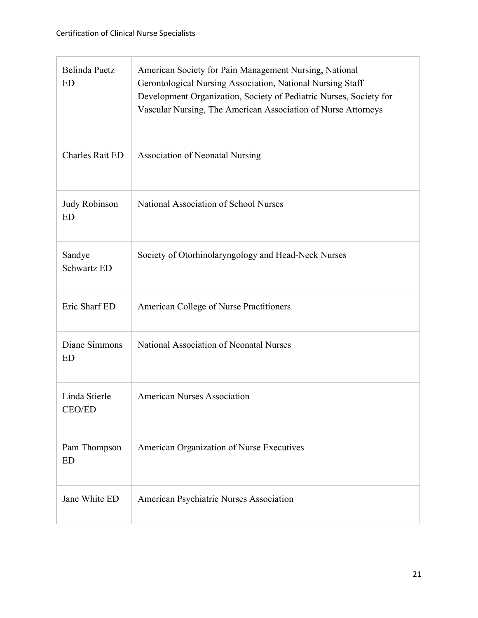| Belinda Puetz<br><b>ED</b>   | American Society for Pain Management Nursing, National<br>Gerontological Nursing Association, National Nursing Staff<br>Development Organization, Society of Pediatric Nurses, Society for<br>Vascular Nursing, The American Association of Nurse Attorneys |
|------------------------------|-------------------------------------------------------------------------------------------------------------------------------------------------------------------------------------------------------------------------------------------------------------|
| <b>Charles Rait ED</b>       | <b>Association of Neonatal Nursing</b>                                                                                                                                                                                                                      |
| Judy Robinson<br><b>ED</b>   | National Association of School Nurses                                                                                                                                                                                                                       |
| Sandye<br><b>Schwartz ED</b> | Society of Otorhinolaryngology and Head-Neck Nurses                                                                                                                                                                                                         |
| Eric Sharf ED                | American College of Nurse Practitioners                                                                                                                                                                                                                     |
| Diane Simmons<br>ED          | National Association of Neonatal Nurses                                                                                                                                                                                                                     |
| Linda Stierle<br>CEO/ED      | <b>American Nurses Association</b>                                                                                                                                                                                                                          |
| Pam Thompson<br><b>ED</b>    | American Organization of Nurse Executives                                                                                                                                                                                                                   |
| Jane White ED                | American Psychiatric Nurses Association                                                                                                                                                                                                                     |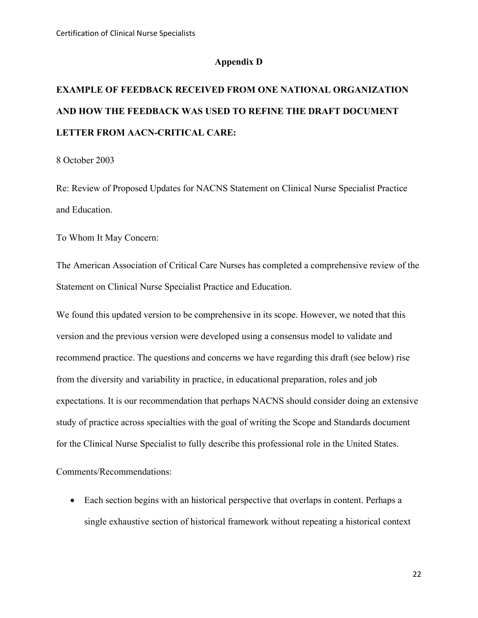### **Appendix D**

# **EXAMPLE OF FEEDBACK RECEIVED FROM ONE NATIONAL ORGANIZATION AND HOW THE FEEDBACK WAS USED TO REFINE THE DRAFT DOCUMENT LETTER FROM AACN-CRITICAL CARE:**

8 October 2003

Re: Review of Proposed Updates for NACNS Statement on Clinical Nurse Specialist Practice and Education.

To Whom It May Concern:

The American Association of Critical Care Nurses has completed a comprehensive review of the Statement on Clinical Nurse Specialist Practice and Education.

We found this updated version to be comprehensive in its scope. However, we noted that this version and the previous version were developed using a consensus model to validate and recommend practice. The questions and concerns we have regarding this draft (see below) rise from the diversity and variability in practice, in educational preparation, roles and job expectations. It is our recommendation that perhaps NACNS should consider doing an extensive study of practice across specialties with the goal of writing the Scope and Standards document for the Clinical Nurse Specialist to fully describe this professional role in the United States.

Comments/Recommendations:

• Each section begins with an historical perspective that overlaps in content. Perhaps a single exhaustive section of historical framework without repeating a historical context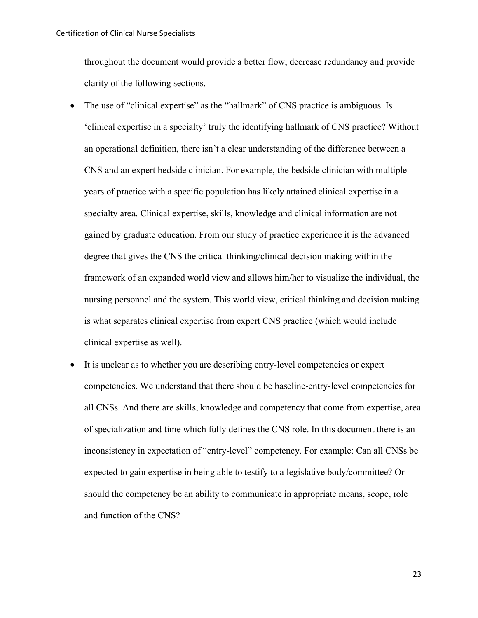throughout the document would provide a better flow, decrease redundancy and provide clarity of the following sections.

- The use of "clinical expertise" as the "hallmark" of CNS practice is ambiguous. Is 'clinical expertise in a specialty' truly the identifying hallmark of CNS practice? Without an operational definition, there isn't a clear understanding of the difference between a CNS and an expert bedside clinician. For example, the bedside clinician with multiple years of practice with a specific population has likely attained clinical expertise in a specialty area. Clinical expertise, skills, knowledge and clinical information are not gained by graduate education. From our study of practice experience it is the advanced degree that gives the CNS the critical thinking/clinical decision making within the framework of an expanded world view and allows him/her to visualize the individual, the nursing personnel and the system. This world view, critical thinking and decision making is what separates clinical expertise from expert CNS practice (which would include clinical expertise as well).
- It is unclear as to whether you are describing entry-level competencies or expert competencies. We understand that there should be baseline-entry-level competencies for all CNSs. And there are skills, knowledge and competency that come from expertise, area of specialization and time which fully defines the CNS role. In this document there is an inconsistency in expectation of "entry-level" competency. For example: Can all CNSs be expected to gain expertise in being able to testify to a legislative body/committee? Or should the competency be an ability to communicate in appropriate means, scope, role and function of the CNS?